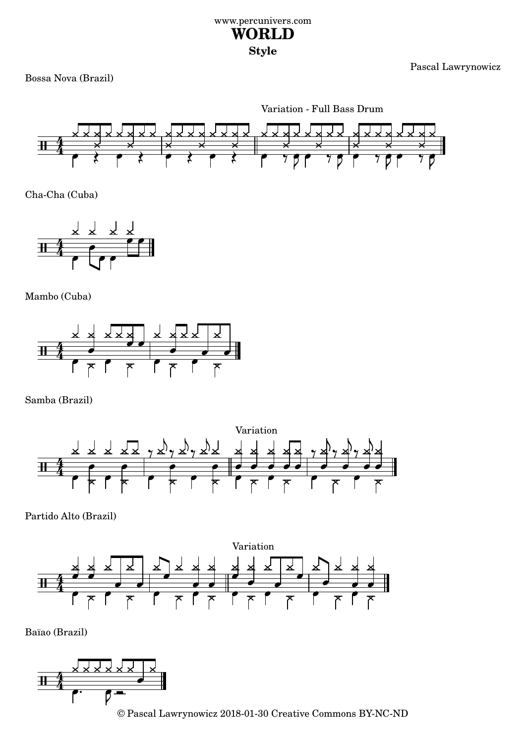## www.percunivers.com **WORLD Style**

Pascal Lawrynowicz

Bossa Nova (Brazil)

Variation - Full Bass Drum



Cha-Cha (Cuba)



Mambo (Cuba)



Samba (Brazil)



Partido Alto (Brazil)